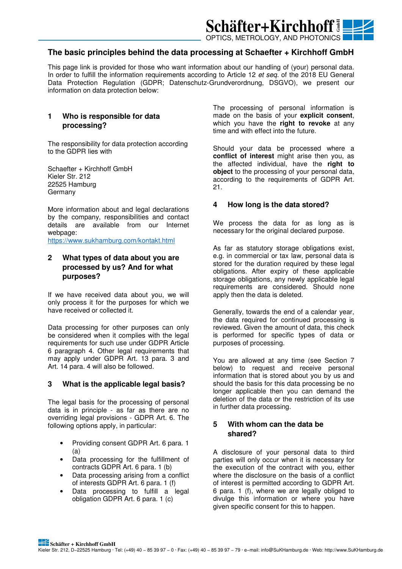

# **The basic principles behind the data processing at Schaefter + Kirchhoff GmbH**

This page link is provided for those who want information about our handling of (your) personal data. In order to fulfill the information requirements according to Article 12 *et seq.* of the 2018 EU General Data Protection Regulation (GDPR; Datenschutz-Grundverordnung, DSGVO), we present our information on data protection below:

# **1 Who is responsible for data processing?**

The responsibility for data protection according to the GDPR lies with

Schaefter + Kirchhoff GmbH Kieler Str. 212 22525 Hamburg Germany

More information about and legal declarations by the company, responsibilities and contact details are available from our Internet webpage:

https://www.sukhamburg.com/kontakt.html

# **2 What types of data about you are processed by us? And for what purposes?**

If we have received data about you, we will only process it for the purposes for which we have received or collected it.

Data processing for other purposes can only be considered when it complies with the legal requirements for such use under GDPR Article 6 paragraph 4. Other legal requirements that may apply under GDPR Art. 13 para. 3 and Art. 14 para. 4 will also be followed.

#### **3 What is the applicable legal basis?**

The legal basis for the processing of personal data is in principle - as far as there are no overriding legal provisions - GDPR Art. 6. The following options apply, in particular:

- Providing consent GDPR Art. 6 para. 1 (a)
- Data processing for the fulfillment of contracts GDPR Art. 6 para. 1 (b)
- Data processing arising from a conflict of interests GDPR Art. 6 para. 1 (f)
- Data processing to fulfill a legal obligation GDPR Art. 6 para. 1 (c)

The processing of personal information is made on the basis of your **explicit consent**, which you have the **right to revoke** at any time and with effect into the future.

Should your data be processed where a **conflict of interest** might arise then you, as the affected individual, have the **right to object** to the processing of your personal data, according to the requirements of GDPR Art. 21.

## **4 How long is the data stored?**

We process the data for as long as is necessary for the original declared purpose.

As far as statutory storage obligations exist, e.g. in commercial or tax law, personal data is stored for the duration required by these legal obligations. After expiry of these applicable storage obligations, any newly applicable legal requirements are considered. Should none apply then the data is deleted.

Generally, towards the end of a calendar year, the data required for continued processing is reviewed. Given the amount of data, this check is performed for specific types of data or purposes of processing.

You are allowed at any time (see Section 7 below) to request and receive personal information that is stored about you by us and should the basis for this data processing be no longer applicable then you can demand the deletion of the data or the restriction of its use in further data processing.

## **5 With whom can the data be shared?**

A disclosure of your personal data to third parties will only occur when it is necessary for the execution of the contract with you, either where the disclosure on the basis of a conflict of interest is permitted according to GDPR Art. 6 para. 1 (f), where we are legally obliged to divulge this information or where you have given specific consent for this to happen.